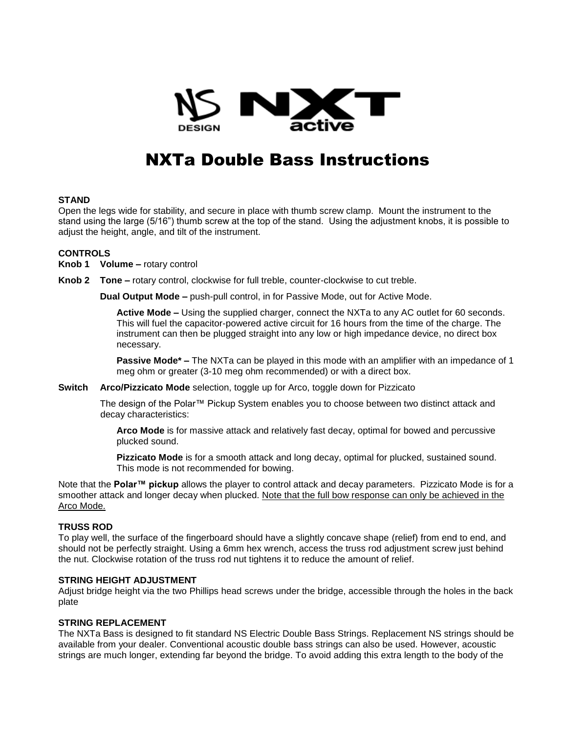

# NXTa Double Bass Instructions

## **STAND**

Open the legs wide for stability, and secure in place with thumb screw clamp. Mount the instrument to the stand using the large (5/16") thumb screw at the top of the stand. Using the adjustment knobs, it is possible to adjust the height, angle, and tilt of the instrument.

## **CONTROLS**

**Knob 1 Volume –** rotary control

**Knob 2 Tone –** rotary control, clockwise for full treble, counter-clockwise to cut treble.

**Dual Output Mode –** push-pull control, in for Passive Mode, out for Active Mode.

**Active Mode –** Using the supplied charger, connect the NXTa to any AC outlet for 60 seconds. This will fuel the capacitor-powered active circuit for 16 hours from the time of the charge. The instrument can then be plugged straight into any low or high impedance device, no direct box necessary.

**Passive Mode\* –** The NXTa can be played in this mode with an amplifier with an impedance of 1 meg ohm or greater (3-10 meg ohm recommended) or with a direct box.

**Switch Arco/Pizzicato Mode** selection, toggle up for Arco, toggle down for Pizzicato

The design of the Polar™ Pickup System enables you to choose between two distinct attack and decay characteristics:

**Arco Mode** is for massive attack and relatively fast decay, optimal for bowed and percussive plucked sound.

**Pizzicato Mode** is for a smooth attack and long decay, optimal for plucked, sustained sound. This mode is not recommended for bowing.

Note that the **Polar™ pickup** allows the player to control attack and decay parameters. Pizzicato Mode is for a smoother attack and longer decay when plucked. Note that the full bow response can only be achieved in the Arco Mode.

#### **TRUSS ROD**

To play well, the surface of the fingerboard should have a slightly concave shape (relief) from end to end, and should not be perfectly straight. Using a 6mm hex wrench, access the truss rod adjustment screw just behind the nut. Clockwise rotation of the truss rod nut tightens it to reduce the amount of relief.

#### **STRING HEIGHT ADJUSTMENT**

Adjust bridge height via the two Phillips head screws under the bridge, accessible through the holes in the back plate

## **STRING REPLACEMENT**

The NXTa Bass is designed to fit standard NS Electric Double Bass Strings. Replacement NS strings should be available from your dealer. Conventional acoustic double bass strings can also be used. However, acoustic strings are much longer, extending far beyond the bridge. To avoid adding this extra length to the body of the